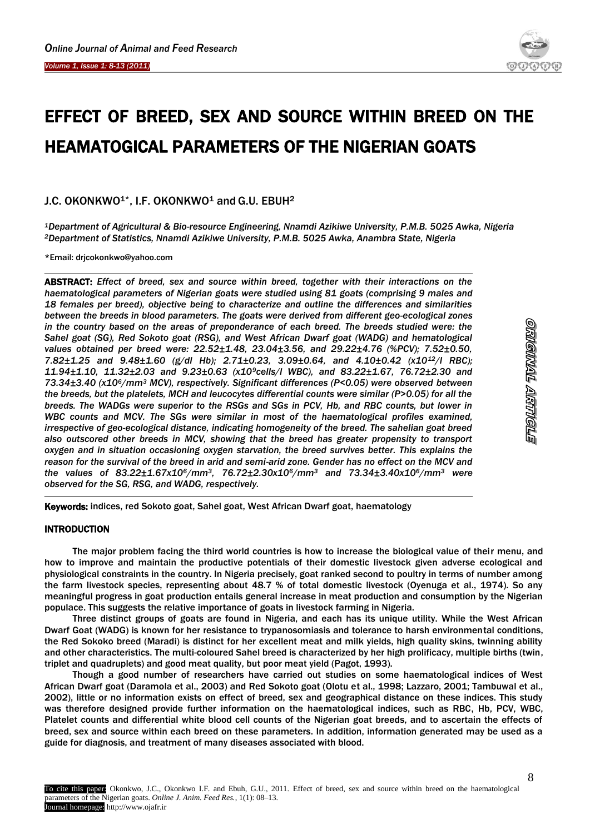I



# EFFECT OF BREED, SEX AND SOURCE WITHIN BREED ON THE HEAMATOGICAL PARAMETERS OF THE NIGERIAN GOATS

J.C. OKONKWO<sup>1\*</sup>, I.F. OKONKWO<sup>1</sup> and G.U. EBUH<sup>2</sup>

*<sup>1</sup>Department of Agricultural & Bio-resource Engineering, Nnamdi Azikiwe University, P.M.B. 5025 Awka, Nigeria <sup>2</sup>Department of Statistics, Nnamdi Azikiwe University, P.M.B. 5025 Awka, Anambra State, Nigeria*

\*Email: drjcokonkwo@yahoo.com

ABSTRACT: *Effect of breed, sex and source within breed, together with their interactions on the haematological parameters of Nigerian goats were studied using 81 goats (comprising 9 males and 18 females per breed), objective being to characterize and outline the differences and similarities between the breeds in blood parameters. The goats were derived from different geo-ecological zones in the country based on the areas of preponderance of each breed. The breeds studied were: the Sahel goat (SG), Red Sokoto goat (RSG), and West African Dwarf goat (WADG) and hematological values obtained per breed were: 22.52±1.48, 23.04±3.56, and 29.22±4.76 (%PCV); 7.52±0.50, 7.82±1.25 and 9.48±1.60 (g/dl Hb); 2.71±0.23, 3.09±0.64, and 4.10±0.42 (x1012/l RBC); 11.94±1.10, 11.32±2.03 and 9.23±0.63 (x109cells/l WBC), and 83.22±1.67, 76.72±2.30 and 73.34±3.40 (x106/mm<sup>3</sup> MCV), respectively. Significant differences (P<0.05) were observed between the breeds, but the platelets, MCH and leucocytes differential counts were similar (P>0.05) for all the breeds. The WADGs were superior to the RSGs and SGs in PCV, Hb, and RBC counts, but lower in WBC counts and MCV. The SGs were similar in most of the haematological profiles examined, irrespective of geo-ecological distance, indicating homogeneity of the breed. The sahelian goat breed also outscored other breeds in MCV, showing that the breed has greater propensity to transport oxygen and in situation occasioning oxygen starvation, the breed survives better. This explains the reason for the survival of the breed in arid and semi-arid zone. Gender has no effect on the MCV and the values of 83.22±1.67x106/mm3, 76.72±2.30x106/mm<sup>3</sup> and 73.34±3.40x106/mm<sup>3</sup> were observed for the SG, RSG, and WADG, respectively.*

Keywords: indices, red Sokoto goat, Sahel goat, West African Dwarf goat, haematology

# INTRODUCTION

The major problem facing the third world countries is how to increase the biological value of their menu, and how to improve and maintain the productive potentials of their domestic livestock given adverse ecological and physiological constraints in the country. In Nigeria precisely, goat ranked second to poultry in terms of number among the farm livestock species, representing about 48.7 % of total domestic livestock (Oyenuga et al., 1974). So any meaningful progress in goat production entails general increase in meat production and consumption by the Nigerian populace. This suggests the relative importance of goats in livestock farming in Nigeria.

Three distinct groups of goats are found in Nigeria, and each has its unique utility. While the West African Dwarf Goat (WADG) is known for her resistance to trypanosomiasis and tolerance to harsh environmental conditions, the Red Sokoko breed (Maradi) is distinct for her excellent meat and milk yields, high quality skins, twinning ability and other characteristics. The multi-coloured Sahel breed is characterized by her high prolificacy, multiple births (twin, triplet and quadruplets) and good meat quality, but poor meat yield (Pagot, 1993).

Though a good number of researchers have carried out studies on some haematological indices of West African Dwarf goat (Daramola et al., 2003) and Red Sokoto goat (Olotu et al., 1998; Lazzaro, 2001; Tambuwal et al., 2002), little or no information exists on effect of breed, sex and geographical distance on these indices. This study was therefore designed provide further information on the haematological indices, such as RBC, Hb, PCV, WBC, Platelet counts and differential white blood cell counts of the Nigerian goat breeds, and to ascertain the effects of breed, sex and source within each breed on these parameters. In addition, information generated may be used as a guide for diagnosis, and treatment of many diseases associated with blood.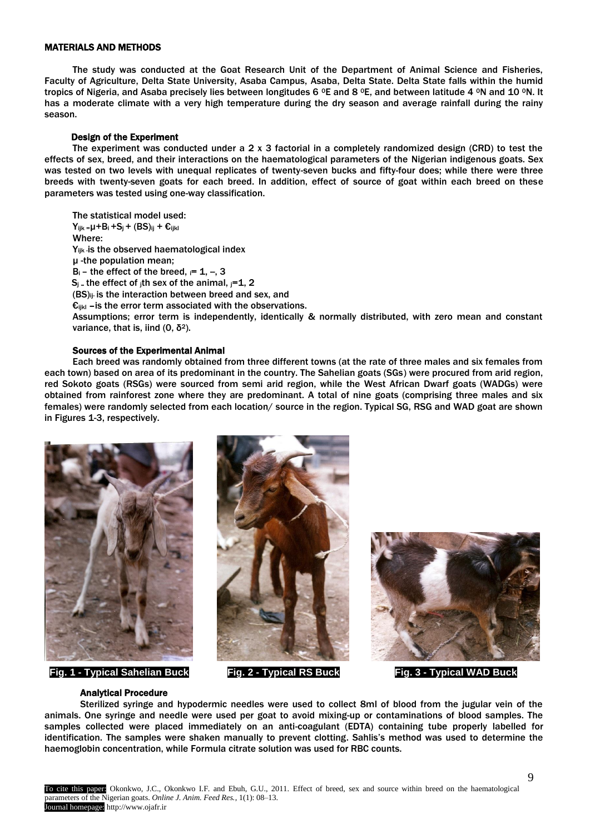## MATERIALS AND METHODS

The study was conducted at the Goat Research Unit of the Department of Animal Science and Fisheries, Faculty of Agriculture, Delta State University, Asaba Campus, Asaba, Delta State. Delta State falls within the humid tropics of Nigeria, and Asaba precisely lies between longitudes 6  $^{\circ}$ E and 8  $^{\circ}$ E, and between latitude 4  $^{\circ}$ N and 10  $^{\circ}$ N. It has a moderate climate with a very high temperature during the dry season and average rainfall during the rainy season.

## Design of the Experiment

The experiment was conducted under a  $2 \times 3$  factorial in a completely randomized design (CRD) to test the effects of sex, breed, and their interactions on the haematological parameters of the Nigerian indigenous goats. Sex was tested on two levels with unequal replicates of twenty-seven bucks and fifty-four does; while there were three breeds with twenty-seven goats for each breed. In addition, effect of source of goat within each breed on these parameters was tested using one-way classification.

The statistical model used:  $Y_{ijk} = \mu + B_i + S_j + (BS)_{ij} + \varepsilon_{ijkl}$ Where: Y<sub>ijk</sub> is the observed haematological index µ -the population mean;  $B_i$  – the effect of the breed,  $i= 1, -3$  $S_i$  – the effect of ith sex of the animal,  $i=1, 2$ (BS)ij- is the interaction between breed and sex, and  $\epsilon_{ijkl}$  –is the error term associated with the observations. Assumptions; error term is independently, identically & normally distributed, with zero mean and constant variance, that is, iind  $(0, δ^2)$ .

### Sources of the Experimental Animal

Each breed was randomly obtained from three different towns (at the rate of three males and six females from each town) based on area of its predominant in the country. The Sahelian goats (SGs) were procured from arid region, red Sokoto goats (RSGs) were sourced from semi arid region, while the West African Dwarf goats (WADGs) were obtained from rainforest zone where they are predominant. A total of nine goats (comprising three males and six females) were randomly selected from each location/ source in the region. Typical SG, RSG and WAD goat are shown in Figures 1-3, respectively.



**Fig. 1 - Typical Sahelian Buck Fig. 2 - Typical RS Buck Fig. 3 - Typical WAD Buck**





#### Analytical Procedure

Sterilized syringe and hypodermic needles were used to collect 8ml of blood from the jugular vein of the animals. One syringe and needle were used per goat to avoid mixing-up or contaminations of blood samples. The samples collected were placed immediately on an anti-coagulant (EDTA) containing tube properly labelled for identification. The samples were shaken manually to prevent clotting. Sahlis's method was used to determine the haemoglobin concentration, while Formula citrate solution was used for RBC counts.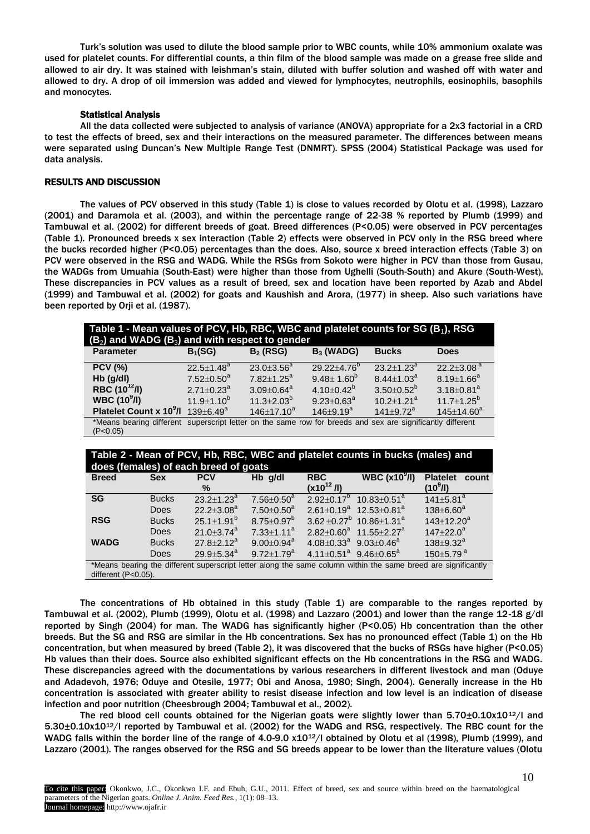Turk's solution was used to dilute the blood sample prior to WBC counts, while 10% ammonium oxalate was used for platelet counts. For differential counts, a thin film of the blood sample was made on a grease free slide and allowed to air dry. It was stained with leishman's stain, diluted with buffer solution and washed off with water and allowed to dry. A drop of oil immersion was added and viewed for lymphocytes, neutrophils, eosinophils, basophils and monocytes.

#### Statistical Analysis

All the data collected were subjected to analysis of variance (ANOVA) appropriate for a 2x3 factorial in a CRD to test the effects of breed, sex and their interactions on the measured parameter. The differences between means were separated using Duncan's New Multiple Range Test (DNMRT). SPSS (2004) Statistical Package was used for data analysis.

## RESULTS AND DISCUSSION

The values of PCV observed in this study (Table 1) is close to values recorded by Olotu et al. (1998), Lazzaro (2001) and Daramola et al. (2003), and within the percentage range of 22-38 % reported by Plumb (1999) and Tambuwal et al. (2002) for different breeds of goat. Breed differences (P<0.05) were observed in PCV percentages (Table 1). Pronounced breeds x sex interaction (Table 2) effects were observed in PCV only in the RSG breed where the bucks recorded higher (P<0.05) percentages than the does. Also, source x breed interaction effects (Table 3) on PCV were observed in the RSG and WADG. While the RSGs from Sokoto were higher in PCV than those from Gusau, the WADGs from Umuahia (South-East) were higher than those from Ughelli (South-South) and Akure (South-West). These discrepancies in PCV values as a result of breed, sex and location have been reported by Azab and Abdel (1999) and Tambuwal et al. (2002) for goats and Kaushish and Arora, (1977) in sheep. Also such variations have been reported by Orji et al. (1987).

| Table 1 - Mean values of PCV, Hb, RBC, WBC and platelet counts for SG (B $_1$ ), RSG<br>$(B_2)$ and WADG $(B_3)$ and with respect to gender |                              |                   |                               |                       |                              |  |  |
|---------------------------------------------------------------------------------------------------------------------------------------------|------------------------------|-------------------|-------------------------------|-----------------------|------------------------------|--|--|
| <b>Parameter</b>                                                                                                                            | $B_1(SG)$                    | $B_2$ (RSG)       | $B_3$ (WADG)                  | <b>Bucks</b>          | <b>Does</b>                  |  |  |
| <b>PCV (%)</b>                                                                                                                              | $22.5 \pm 1.48$ <sup>a</sup> | $23.0 \pm 3.56^a$ | $29.22 \pm 4.76$ <sup>b</sup> | $23.2 + 1.23^a$       | $22.2 \pm 3.08$ <sup>a</sup> |  |  |
| $Hb$ (g/dl)                                                                                                                                 | $7.52 \pm 0.50^a$            | $7.82 + 1.25^a$   | $9.48 \pm 1.60^6$             | $8.44 \pm 1.03^a$     | $8.19 \pm 1.66^a$            |  |  |
| RBC $(10^{12}/I)$                                                                                                                           | $2.71 \pm 0.23$ <sup>a</sup> | $3.09 \pm 0.64^a$ | $4.10+0.42^b$                 | $3.50 + 0.52^{\circ}$ | $3.18 \pm 0.81$ <sup>a</sup> |  |  |
| WBC(10 <sup>9</sup> /I)                                                                                                                     | $11.9 + 1.10^{b}$            | $11.3 \pm 2.03^b$ | $9.23 \pm 0.63^{\circ}$       | $10.2 + 1.21^a$       | $11.7 \pm 1.25^b$            |  |  |
| Platelet Count x 10 <sup>9</sup> /l                                                                                                         | $139 \pm 6.49^a$             | $146 \pm 17.10^a$ | $146 + 9.19^a$                | $141 + 9.72^a$        | $145 \pm 14.60^a$            |  |  |
| *Means bearing different superscript letter on the same row for breeds and sex are significantly different<br>(P<0.05)                      |                              |                   |                               |                       |                              |  |  |

| Table 2 - Mean of PCV, Hb, RBC, WBC and platelet counts in bucks (males) and<br>does (females) of each breed of goats                |              |                        |                              |                                                |                                                 |                                                  |  |  |
|--------------------------------------------------------------------------------------------------------------------------------------|--------------|------------------------|------------------------------|------------------------------------------------|-------------------------------------------------|--------------------------------------------------|--|--|
| <b>Breed</b>                                                                                                                         | <b>Sex</b>   | <b>PCV</b><br>℅        | Hb q/dl                      | <b>RBC</b><br>$(x10^{12}$ /l)                  | WBC $(x109/I)$                                  | <b>Platelet</b><br>count<br>(10 <sup>9</sup> /l) |  |  |
| <b>SG</b>                                                                                                                            | <b>Bucks</b> | $23.2 + 1.23^a$        | $7.56 \pm 0.50^a$            | $2.92+0.17^{\circ}$                            | $10.83 \pm 0.51$ <sup>a</sup>                   | $141 \pm 5.81$ <sup>a</sup>                      |  |  |
|                                                                                                                                      | <b>Does</b>  | $22.2 + 3.08^a$        | $7.50 \pm 0.50$ <sup>a</sup> |                                                | $2.61 \pm 0.19^a$ 12.53 $\pm$ 0.81 <sup>a</sup> | $138 \pm 6.60^a$                                 |  |  |
| <b>RSG</b>                                                                                                                           | <b>Bucks</b> | $25.1 \pm 1.91^b$      | $8.75 \pm 0.97^b$            |                                                | $3.62 \pm 0.27^b$ 10.86 $\pm$ 1.31 <sup>a</sup> | $143+12.20^a$                                    |  |  |
|                                                                                                                                      | <b>Does</b>  | $21.0 + 3.74^a$        | $7.33 \pm 1.11$ <sup>a</sup> |                                                | $2.82+0.60^a$ 11.55 + 2.27 <sup>a</sup>         | $147 + 22.0^a$                                   |  |  |
| <b>WADG</b>                                                                                                                          | <b>Bucks</b> | $27.8 + 2.12^a$        | $9.00 \pm 0.94$ <sup>a</sup> | $4.08 + 0.33^a$ 9.03 + 0.46 <sup>a</sup>       |                                                 | $138 + 9.32^a$                                   |  |  |
|                                                                                                                                      | Does         | 29.9 $\pm$ 5.34 $^{a}$ | $9.72 \pm 1.79^a$            | $4.11 \pm 0.51^a$ 9.46 $\pm$ 0.65 <sup>a</sup> |                                                 | $150 \pm 5.79$ <sup>a</sup>                      |  |  |
| *Means bearing the different superscript letter along the same column within the same breed are significantly<br>different (P<0.05). |              |                        |                              |                                                |                                                 |                                                  |  |  |

The concentrations of Hb obtained in this study (Table 1) are comparable to the ranges reported by Tambuwal et al. (2002), Plumb (1999), Olotu et al. (1998) and Lazzaro (2001) and lower than the range 12-18 g/dl reported by Singh (2004) for man. The WADG has significantly higher (P<0.05) Hb concentration than the other breeds. But the SG and RSG are similar in the Hb concentrations. Sex has no pronounced effect (Table 1) on the Hb concentration, but when measured by breed (Table 2), it was discovered that the bucks of RSGs have higher (P<0.05) Hb values than their does. Source also exhibited significant effects on the Hb concentrations in the RSG and WADG. These discrepancies agreed with the documentations by various researchers in different livestock and man (Oduye and Adadevoh, 1976; Oduye and Otesile, 1977; Obi and Anosa, 1980; Singh, 2004). Generally increase in the Hb concentration is associated with greater ability to resist disease infection and low level is an indication of disease infection and poor nutrition (Cheesbrough 2004; Tambuwal et al., 2002).

The red blood cell counts obtained for the Nigerian goats were slightly lower than  $5.70\pm0.10x10^{12}/l$  and 5.30±0.10x1012/l reported by Tambuwal et al. (2002) for the WADG and RSG, respectively. The RBC count for the WADG falls within the border line of the range of 4.0-9.0 x10<sup>12</sup>/l obtained by Olotu et al (1998), Plumb (1999), and Lazzaro (2001). The ranges observed for the RSG and SG breeds appear to be lower than the literature values (Olotu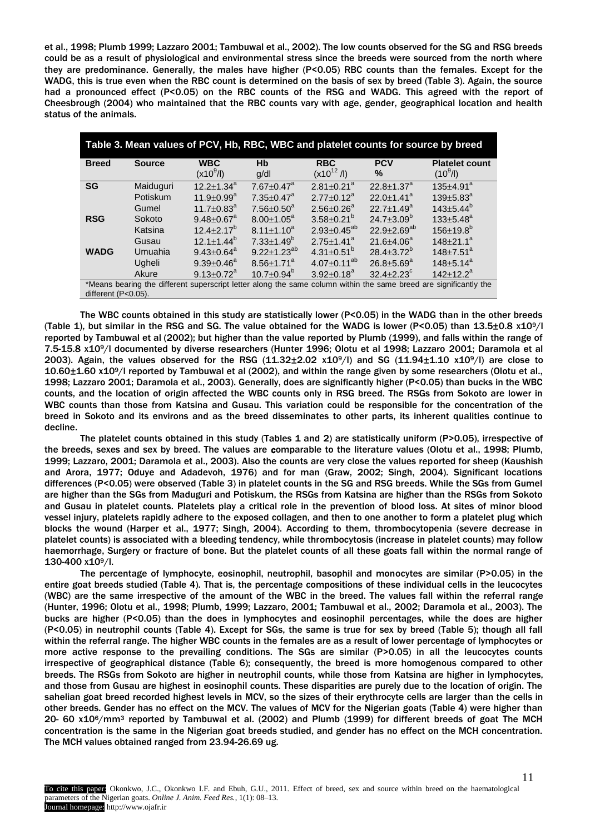et al., 1998; Plumb 1999; Lazzaro 2001; Tambuwal et al., 2002). The low counts observed for the SG and RSG breeds could be as a result of physiological and environmental stress since the breeds were sourced from the north where they are predominance. Generally, the males have higher (P<0.05) RBC counts than the females. Except for the WADG, this is true even when the RBC count is determined on the basis of sex by breed (Table 3). Again, the source had a pronounced effect (P<0.05) on the RBC counts of the RSG and WADG. This agreed with the report of Cheesbrough (2004) who maintained that the RBC counts vary with age, gender, geographical location and health status of the animals.

| Table 3. Mean values of PCV, Hb, RBC, WBC and platelet counts for source by breed                                                           |               |                              |                              |                              |                             |                                     |  |  |
|---------------------------------------------------------------------------------------------------------------------------------------------|---------------|------------------------------|------------------------------|------------------------------|-----------------------------|-------------------------------------|--|--|
| <b>Breed</b>                                                                                                                                | <b>Source</b> | <b>WBC</b><br>$(x10^9/l)$    | Hb<br>q/dl                   | <b>RBC</b><br>$(x10^{12}/I)$ | <b>PCV</b><br>$\frac{9}{6}$ | <b>Platelet count</b><br>$(10^9/l)$ |  |  |
| <b>SG</b>                                                                                                                                   | Maiduguri     | $12.2 \pm 1.34^a$            | $7.67 \pm 0.47$ <sup>a</sup> | $2.81 \pm 0.21$ <sup>a</sup> | $22.8 + 1.37^a$             | $135 \pm 4.91^a$                    |  |  |
|                                                                                                                                             | Potiskum      | $11.9 \pm 0.99$ <sup>a</sup> | $7.35 \pm 0.47$ <sup>a</sup> | $2.77 \pm 0.12^a$            | $22.0 + 1.41^a$             | $139 \pm 5.83^a$                    |  |  |
|                                                                                                                                             | Gumel         | $11.7 \pm 0.83$ <sup>a</sup> | $7.56 \pm 0.50$ <sup>a</sup> | $2.56 + 0.26^a$              | $22.7 + 1.49^a$             | $143 \pm 5.44^{\circ}$              |  |  |
| <b>RSG</b>                                                                                                                                  | Sokoto        | $9.48 \pm 0.67^a$            | $8.00 \pm 1.05^a$            | $3.58 \pm 0.21^b$            | 24.7 $\pm$ 3.09 $^{\circ}$  | $133 \pm 5.48^a$                    |  |  |
|                                                                                                                                             | Katsina       | $12.4 \pm 2.17^b$            | $8.11 \pm 1.10^a$            | $2.93 \pm 0.45^{ab}$         | $22.9 \pm 2.69^{ab}$        | $156 \pm 19.8^b$                    |  |  |
|                                                                                                                                             | Gusau         | $12.1 \pm 1.44^b$            | $7.33 \pm 1.49^b$            | $2.75 \pm 1.41^a$            | $21.6 + 4.06^a$             | $148 \pm 21.1^a$                    |  |  |
| <b>WADG</b>                                                                                                                                 | Umuahia       | $9.43 \pm 0.64^{\circ}$      | $9.22 \pm 1.23^{ab}$         | 4.31 $\pm$ 0.51 <sup>b</sup> | $28.4 \pm 3.72^{\circ}$     | $148 \pm 7.51$ <sup>a</sup>         |  |  |
|                                                                                                                                             | Ugheli        | $9.39 \pm 0.46^a$            | $8.56 \pm 1.71$ <sup>a</sup> | $4.07 \pm 0.11^{ab}$         | $26.8 \pm 5.69^a$           | $148 \pm 5.14^a$                    |  |  |
| $10.7 \pm 0.94^b$<br>$9.13 \pm 0.72^a$<br>$3.92 \pm 0.18^a$<br>$32.4 + 2.23^c$<br>$142+12.2^a$<br>Akure                                     |               |                              |                              |                              |                             |                                     |  |  |
| *Means bearing the different superscript letter along the same column within the same breed are significantly the<br>different $(P<0.05)$ . |               |                              |                              |                              |                             |                                     |  |  |

The WBC counts obtained in this study are statistically lower (P<0.05) in the WADG than in the other breeds (Table 1), but similar in the RSG and SG. The value obtained for the WADG is lower (P<0.05) than  $13.5\pm0.8$  x10<sup>9</sup>/l reported by Tambuwal et al (2002); but higher than the value reported by Plumb (1999), and falls within the range of 7.5-15.8 x109/l documented by diverse researchers (Hunter 1996; Olotu et al 1998; Lazzaro 2001; Daramola et al 2003). Again, the values observed for the RSG  $(11.32\pm2.02 \times 10^9/$  and SG  $(11.94\pm1.10 \times 10^9/$  are close to 10.60±1.60 x109/l reported by Tambuwal et al (2002), and within the range given by some researchers (Olotu et al., 1998; Lazzaro 2001; Daramola et al., 2003). Generally, does are significantly higher (P<0.05) than bucks in the WBC counts, and the location of origin affected the WBC counts only in RSG breed. The RSGs from Sokoto are lower in WBC counts than those from Katsina and Gusau. This variation could be responsible for the concentration of the breed in Sokoto and its environs and as the breed disseminates to other parts, its inherent qualities continue to decline.

The platelet counts obtained in this study (Tables 1 and 2) are statistically uniform (P>0.05), irrespective of the breeds, sexes and sex by breed. The values are comparable to the literature values (Olotu et al., 1998; Plumb, 1999; Lazzaro, 2001; Daramola et al., 2003). Also the counts are very close the values reported for sheep (Kaushish and Arora, 1977; Oduye and Adadevoh, 1976) and for man (Graw, 2002; Singh, 2004). Significant locations differences (P<0.05) were observed (Table 3) in platelet counts in the SG and RSG breeds. While the SGs from Gumel are higher than the SGs from Maduguri and Potiskum, the RSGs from Katsina are higher than the RSGs from Sokoto and Gusau in platelet counts. Platelets play a critical role in the prevention of blood loss. At sites of minor blood vessel injury, platelets rapidly adhere to the exposed collagen, and then to one another to form a platelet plug which blocks the wound (Harper et al., 1977; Singh, 2004). According to them, thrombocytopenia (severe decrease in platelet counts) is associated with a bleeding tendency, while thrombocytosis (increase in platelet counts) may follow haemorrhage, Surgery or fracture of bone. But the platelet counts of all these goats fall within the normal range of 130-400 x109/l.

The percentage of lymphocyte, eosinophil, neutrophil, basophil and monocytes are similar (P>0.05) in the entire goat breeds studied (Table 4). That is, the percentage compositions of these individual cells in the leucocytes (WBC) are the same irrespective of the amount of the WBC in the breed. The values fall within the referral range (Hunter, 1996; Olotu et al., 1998; Plumb, 1999; Lazzaro, 2001; Tambuwal et al., 2002; Daramola et al., 2003). The bucks are higher (P<0.05) than the does in lymphocytes and eosinophil percentages, while the does are higher (P<0.05) in neutrophil counts (Table 4). Except for SGs, the same is true for sex by breed (Table 5); though all fall within the referral range. The higher WBC counts in the females are as a result of lower percentage of lymphocytes or more active response to the prevailing conditions. The SGs are similar (P>0.05) in all the leucocytes counts irrespective of geographical distance (Table 6); consequently, the breed is more homogenous compared to other breeds. The RSGs from Sokoto are higher in neutrophil counts, while those from Katsina are higher in lymphocytes, and those from Gusau are highest in eosinophil counts. These disparities are purely due to the location of origin. The sahelian goat breed recorded highest levels in MCV, so the sizes of their erythrocyte cells are larger than the cells in other breeds. Gender has no effect on the MCV. The values of MCV for the Nigerian goats (Table 4) were higher than 20- 60 x106/mm<sup>3</sup> reported by Tambuwal et al. (2002) and Plumb (1999) for different breeds of goat The MCH concentration is the same in the Nigerian goat breeds studied, and gender has no effect on the MCH concentration. The MCH values obtained ranged from 23.94-26.69 ug.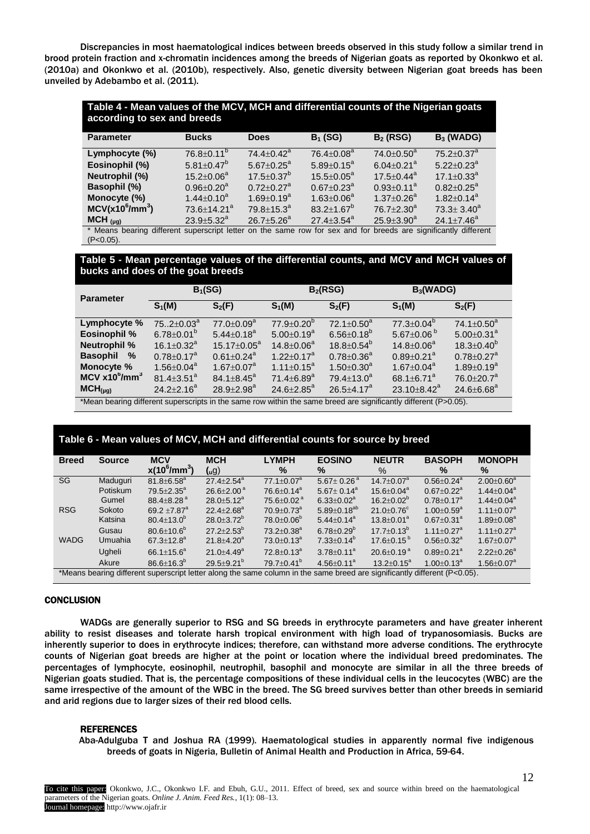Discrepancies in most haematological indices between breeds observed in this study follow a similar trend in brood protein fraction and x-chromatin incidences among the breeds of Nigerian goats as reported by Okonkwo et al. (2010a) and Okonkwo et al. (2010b), respectively. Also, genetic diversity between Nigerian goat breeds has been unveiled by Adebambo et al. (2011).

| Table 4 - Mean values of the MCV, MCH and differential counts of the Nigerian goats<br>according to sex and breeds |                               |                              |                              |                              |                              |  |  |
|--------------------------------------------------------------------------------------------------------------------|-------------------------------|------------------------------|------------------------------|------------------------------|------------------------------|--|--|
| <b>Parameter</b>                                                                                                   | <b>Bucks</b>                  | <b>Does</b>                  | $B_1$ (SG)                   | $B_2$ (RSG)                  | $B_3$ (WADG)                 |  |  |
| Lymphocyte (%)                                                                                                     | $76.8 \pm 0.11$ <sup>b</sup>  | $74.4 + 0.42^a$              | 76.4±0.08 <sup>a</sup>       | $74.0 \pm 0.50^a$            | $75.2 \pm 0.37$ <sup>a</sup> |  |  |
| Eosinophil (%)                                                                                                     | $5.81 \pm 0.47$ <sup>b</sup>  | $5.67 \pm 0.25^{\circ}$      | $5.89 \pm 0.15^a$            | $6.04 \pm 0.21$ <sup>a</sup> | $5.22 \pm 0.23^a$            |  |  |
| Neutrophil (%)                                                                                                     | $15.2 \pm 0.06^a$             | $17.5 \pm 0.37^{\circ}$      | $15.5 \pm 0.05^{\circ}$      | $17.5 + 0.44^a$              | $17.1 \pm 0.33$ <sup>a</sup> |  |  |
| <b>Basophil (%)</b>                                                                                                | $0.96 \pm 0.20$ <sup>a</sup>  | $0.72 \pm 0.27$ <sup>a</sup> | $0.67 \pm 0.23$ <sup>a</sup> | $0.93 \pm 0.11^a$            | $0.82 + 0.25^a$              |  |  |
| Monocyte (%)                                                                                                       | $1.44 \pm 0.10^a$             | $1.69 + 0.19^a$              | $1.63 \pm 0.06^a$            | $1.37 \pm 0.26^a$            | $1.82 \pm 0.14^a$            |  |  |
| $MCV(x10^6/mm^3)$                                                                                                  | $73.6 \pm 14.21$ <sup>a</sup> | $79.8 \pm 15.3^{\circ}$      | $83.2 + 1.67^{\circ}$        | $76.7 + 2.30^a$              | $73.3 \pm 3.40^a$            |  |  |
| $MCH_{(\mu g)}$                                                                                                    | $23.9 \pm 5.32^a$             | $26.7 \pm 5.26^a$            | $27.4 \pm 3.54^{\circ}$      | $25.9 \pm 3.90^a$            | $24.1 \pm 7.46^a$            |  |  |
| * Means bearing different superscript letter on the same row for sex and for breeds are significantly different    |                               |                              |                              |                              |                              |  |  |

 $(P<0.05)$ .

**Table 5 - Mean percentage values of the differential counts, and MCV and MCH values of bucks and does of the goat breeds**

| <b>Parameter</b>                                                                                                 | $B_1(SG)$                    |                              | B <sub>2</sub> (RSG)         |                              | B <sub>3</sub> (WADG)         |                              |  |  |
|------------------------------------------------------------------------------------------------------------------|------------------------------|------------------------------|------------------------------|------------------------------|-------------------------------|------------------------------|--|--|
|                                                                                                                  | $S_1(M)$                     | $S_2(F)$                     | $S_1(M)$                     | $S_2(F)$                     | $S_1(M)$                      | $S_2(F)$                     |  |  |
| Lymphocyte %                                                                                                     | $752 \pm 0.03^a$             | $77.0 + 0.09^a$              | $77.9 + 0.20^{\circ}$        | $72.1 \pm 0.50^{\circ}$      | $77.3 \pm 0.04^b$             | 74.1 $\pm$ 0.50 $^{a}$       |  |  |
| <b>Eosinophil %</b>                                                                                              | $6.78 \pm 0.01^{b}$          | $5.44 \pm 0.18$ <sup>a</sup> | $5.00+0.19^a$                | $6.56 \pm 0.18^{\circ}$      | 5.67 $\pm$ 0.06 $^{b}$        | $5.00 \pm 0.31$ <sup>a</sup> |  |  |
| <b>Neutrophil %</b>                                                                                              | $16.1 \pm 0.32$ <sup>a</sup> | $15.17 \pm 0.05^{\text{a}}$  | $14.8 \pm 0.06^a$            | $18.8 \pm 0.54^{\circ}$      | $14.8 + 0.06^a$               | $18.3 \pm 0.40^{\circ}$      |  |  |
| <b>Basophil</b> %                                                                                                | $0.78 \pm 0.17$ <sup>a</sup> | $0.61 \pm 0.24$ <sup>a</sup> | $1.22 \pm 0.17^a$            | $0.78 \pm 0.36^a$            | $0.89 \pm 0.21$ <sup>a</sup>  | $0.78 \pm 0.27$ <sup>a</sup> |  |  |
| Monocyte %                                                                                                       | $1.56 \pm 0.04^a$            | $1.67 \pm 0.07$ <sup>a</sup> | $1.11 \pm 0.15^a$            | $1.50 \pm 0.30$ <sup>a</sup> | $1.67 \pm 0.04^{\circ}$       | $1.89 + 0.19^a$              |  |  |
| $MCV x10^{6}/mm^{3}$                                                                                             | 81.4 $\pm$ 3.51 $^{a}$       | $84.1 \pm 8.45^{\circ}$      | $71.4 \pm 6.89$ <sup>a</sup> | $79.4 \pm 13.0^a$            | 68.1 $\pm$ 6.71 <sup>a</sup>  | $76.0 \pm 20.7^a$            |  |  |
| $MCH_{(\mu q)}$                                                                                                  | $24.2 + 2.16^a$              | $28.9 + 2.98^a$              | $24.6 \pm 2.85^a$            | $26.5 \pm 4.17^a$            | 23.10 $\pm$ 8.42 <sup>a</sup> | 24.6 $\pm$ 6.68 $^{a}$       |  |  |
| *Mean bearing different superscripts in the same row within the same breed are significantly different (P>0.05). |                              |                              |                              |                              |                               |                              |  |  |

# **Table 6 - Mean values of MCV, MCH and differential counts for source by breed**

| <b>Breed</b>                                                                                                              | <b>Source</b>   | <b>MCV</b>                   | <b>MCH</b>                 | <b>LYMPH</b>                 | <b>EOSINO</b>                | <b>NEUTR</b>                 | <b>BASOPH</b>                | <b>MONOPH</b>                |  |
|---------------------------------------------------------------------------------------------------------------------------|-----------------|------------------------------|----------------------------|------------------------------|------------------------------|------------------------------|------------------------------|------------------------------|--|
|                                                                                                                           |                 | $x(10^6/\text{mm}^3)$        | (ug)                       | $\%$                         | $\%$                         | $\%$                         | $\frac{9}{6}$                | $\frac{9}{6}$                |  |
| SG                                                                                                                        | Maduquri        | $81.8 \pm 6.58^a$            | $27.4 + 2.54^a$            | $77.1 \pm 0.07$ <sup>a</sup> | $5.67 + 0.26$ <sup>a</sup>   | $14.7 + 0.07a$               | $0.56 \pm 0.24$ <sup>a</sup> | $2.00 \pm 0.60^a$            |  |
|                                                                                                                           | <b>Potiskum</b> | $79.5 \pm 2.35^{\circ}$      | $26.6 + 2.00^{\text{a}}$   | $76.6 + 0.14^a$              | $5.67 + 0.14^a$              | $15.6 \pm 0.04^a$            | $0.67 \pm 0.22$ <sup>a</sup> | $1.44 \pm 0.04^a$            |  |
|                                                                                                                           | Gumel           | $88.4 + 8.28$ <sup>a</sup>   | $28.0 \pm 5.12^a$          | $75.6 \pm 0.02$ <sup>a</sup> | $6.33 \pm 0.02^a$            | $16.2 \pm 0.02^{\circ}$      | $0.78 \pm 0.17$ <sup>a</sup> | $1.44 \pm 0.04^a$            |  |
| <b>RSG</b>                                                                                                                | Sokoto          | 69.2 $\pm$ 7.87 $^{a}$       | $22.4 \pm 2.68^a$          | $70.9 \pm 0.73$ <sup>a</sup> | $5.89 \pm 0.18^{ab}$         | $21.0 \pm 0.76$ <sup>c</sup> | $1.00 \pm 0.59^{\text{a}}$   | $1.11 \pm 0.07$ <sup>a</sup> |  |
|                                                                                                                           | Katsina         | $80.4 \pm 13.0^{\circ}$      | $28.0 \pm 3.72^{\circ}$    | $78.0 \pm 0.06^b$            | $5.44 \pm 0.14^a$            | $13.8 \pm 0.01^a$            | $0.67 \pm 0.31$ <sup>a</sup> | $1.89 \pm 0.08^a$            |  |
|                                                                                                                           | Gusau           | $80.6 \pm 10.6^{\circ}$      | $27.2 + 2.53^b$            | $73.2 \pm 0.38$ <sup>a</sup> | $6.78 \pm 0.29$ <sup>b</sup> | $17.7 + 0.13^b$              | $1.11 \pm 0.27$ <sup>a</sup> | $1.11 \pm 0.27$ <sup>a</sup> |  |
| <b>WADG</b>                                                                                                               | <b>Umuahia</b>  | $67.3 \pm 12.8^a$            | $21.8 \pm 4.20^a$          | $73.0 \pm 0.13^a$            | $7.33 \pm 0.14^b$            | $17.6 \pm 0.15^{b}$          | $0.56 \pm 0.32$ <sup>a</sup> | $1.67 \pm 0.07^a$            |  |
|                                                                                                                           | Ugheli          | 66.1 $\pm$ 15.6 <sup>a</sup> | $21.0 + 4.49$ <sup>a</sup> | $72.8 \pm 0.13^a$            | $3.78 \pm 0.11^a$            | 20.6 $\pm$ 0.19 $^{a}$       | $0.89 \pm 0.21$ <sup>a</sup> | $2.22 \pm 0.26^a$            |  |
|                                                                                                                           | Akure           | $86.6 \pm 16.3^b$            | $29.5 + 9.21^{b}$          | $79.7 \pm 0.41^{\circ}$      | $4.56 \pm 0.11^a$            | $13.2 \pm 0.15^a$            | $1.00 \pm 0.13$ <sup>a</sup> | $1.56 \pm 0.07^a$            |  |
| *Means bearing different superscript letter along the same column in the same breed are significantly different (P<0.05). |                 |                              |                            |                              |                              |                              |                              |                              |  |

#### **CONCLUSION**

WADGs are generally superior to RSG and SG breeds in erythrocyte parameters and have greater inherent ability to resist diseases and tolerate harsh tropical environment with high load of trypanosomiasis. Bucks are inherently superior to does in erythrocyte indices; therefore, can withstand more adverse conditions. The erythrocyte counts of Nigerian goat breeds are higher at the point or location where the individual breed predominates. The percentages of lymphocyte, eosinophil, neutrophil, basophil and monocyte are similar in all the three breeds of Nigerian goats studied. That is, the percentage compositions of these individual cells in the leucocytes (WBC) are the same irrespective of the amount of the WBC in the breed. The SG breed survives better than other breeds in semiarid and arid regions due to larger sizes of their red blood cells.

#### REFERENCES

Aba-Adulguba T and Joshua RA (1999). Haematological studies in apparently normal five indigenous breeds of goats in Nigeria, Bulletin of Animal Health and Production in Africa, 59-64.